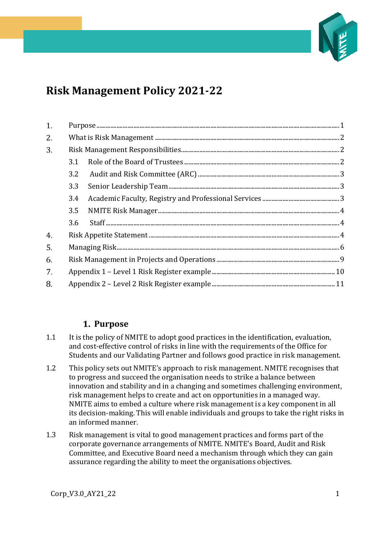

# **Risk Management Policy 2021-22**

| 1. |     | ${\bf Purpose}\ _{\bf m}{\bf =\ }{\bf 1}$ |  |  |  |  |  |  |  |  |
|----|-----|-------------------------------------------|--|--|--|--|--|--|--|--|
| 2. |     |                                           |  |  |  |  |  |  |  |  |
| 3. |     |                                           |  |  |  |  |  |  |  |  |
|    | 3.1 |                                           |  |  |  |  |  |  |  |  |
|    | 3.2 |                                           |  |  |  |  |  |  |  |  |
|    | 3.3 |                                           |  |  |  |  |  |  |  |  |
|    | 3.4 |                                           |  |  |  |  |  |  |  |  |
|    | 3.5 |                                           |  |  |  |  |  |  |  |  |
|    | 3.6 |                                           |  |  |  |  |  |  |  |  |
| 4. |     |                                           |  |  |  |  |  |  |  |  |
| 5. |     |                                           |  |  |  |  |  |  |  |  |
| 6. |     |                                           |  |  |  |  |  |  |  |  |
| 7. |     |                                           |  |  |  |  |  |  |  |  |
| 8. |     |                                           |  |  |  |  |  |  |  |  |

### **Purpose**

- <span id="page-0-0"></span>1.1 It is the policy of NMITE to adopt good practices in the identification, evaluation, and cost-effective control of risks in line with the requirements of the Office for Students and our Validating Partner and follows good practice in risk management.
- 1.2 This policy sets out NMITE's approach to risk management. NMITE recognises that to progress and succeed the organisation needs to strike a balance between innovation and stability and in a changing and sometimes challenging environment, risk management helps to create and act on opportunities in a managed way. NMITE aims to embed a culture where risk management is a key component in all its decision-making. This will enable individuals and groups to take the right risks in an informed manner.
- 1.3 Risk management is vital to good management practices and forms part of the corporate governance arrangements of NMITE. NMITE's Board, Audit and Risk Committee, and Executive Board need a mechanism through which they can gain assurance regarding the ability to meet the organisations objectives.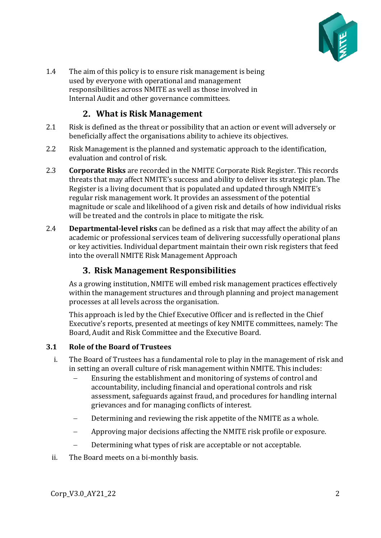

1.4 The aim of this policy is to ensure risk management is being used by everyone with operational and management responsibilities across NMITE as well as those involved in Internal Audit and other governance committees.

# <span id="page-1-0"></span>**What is Risk Management**

- 2.1 Risk is defined as the threat or possibility that an action or event will adversely or beneficially affect the organisations ability to achieve its objectives.
- 2.2 Risk Management is the planned and systematic approach to the identification, evaluation and control of risk.
- 2.3 **Corporate Risks** are recorded in the NMITE Corporate Risk Register. This records threats that may affect NMITE's success and ability to deliver its strategic plan. The Register is a living document that is populated and updated through NMITE's regular risk management work. It provides an assessment of the potential magnitude or scale and likelihood of a given risk and details of how individual risks will be treated and the controls in place to mitigate the risk.
- 2.4 **Departmental-level risks** can be defined as a risk that may affect the ability of an academic or professional services team of delivering successfully operational plans or key activities. Individual department maintain their own risk registers that feed into the overall NMITE Risk Management Approach

### **Risk Management Responsibilities**

<span id="page-1-1"></span>As a growing institution, NMITE will embed risk management practices effectively within the management structures and through planning and project management processes at all levels across the organisation.

This approach is led by the Chief Executive Officer and is reflected in the Chief Executive's reports, presented at meetings of key NMITE committees, namely: The Board, Audit and Risk Committee and the Executive Board.

#### <span id="page-1-2"></span>**3.1 Role of the Board of Trustees**

- i. The Board of Trustees has a fundamental role to play in the management of risk and in setting an overall culture of risk management within NMITE. This includes:
	- Ensuring the establishment and monitoring of systems of control and accountability, including financial and operational controls and risk assessment, safeguards against fraud, and procedures for handling internal grievances and for managing conflicts of interest.
	- Determining and reviewing the risk appetite of the NMITE as a whole.
	- − Approving major decisions affecting the NMITE risk profile or exposure.
	- − Determining what types of risk are acceptable or not acceptable.
- ii. The Board meets on a bi-monthly basis.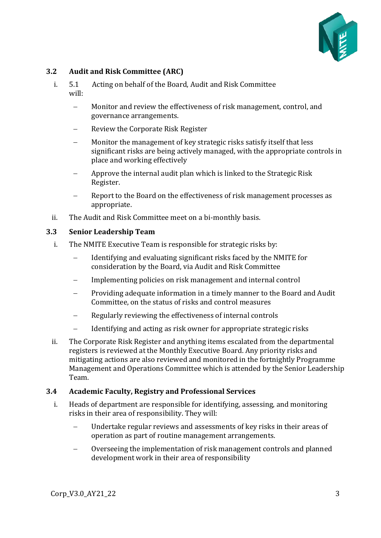

#### <span id="page-2-0"></span>**3.2 Audit and Risk Committee (ARC)**

- i. 5.1 Acting on behalf of the Board, Audit and Risk Committee will:
	- − Monitor and review the effectiveness of risk management, control, and governance arrangements.
	- − Review the Corporate Risk Register
	- Monitor the management of key strategic risks satisfy itself that less significant risks are being actively managed, with the appropriate controls in place and working effectively
	- − Approve the internal audit plan which is linked to the Strategic Risk Register.
	- Report to the Board on the effectiveness of risk management processes as appropriate.
- ii. The Audit and Risk Committee meet on a bi-monthly basis.

#### <span id="page-2-1"></span>**3.3 Senior Leadership Team**

- i. The NMITE Executive Team is responsible for strategic risks by:
	- Identifying and evaluating significant risks faced by the NMITE for consideration by the Board, via Audit and Risk Committee
	- Implementing policies on risk management and internal control
	- − Providing adequate information in a timely manner to the Board and Audit Committee, on the status of risks and control measures
	- Regularly reviewing the effectiveness of internal controls
	- Identifying and acting as risk owner for appropriate strategic risks
- ii. The Corporate Risk Register and anything items escalated from the departmental registers is reviewed at the Monthly Executive Board. Any priority risks and mitigating actions are also reviewed and monitored in the fortnightly Programme Management and Operations Committee which is attended by the Senior Leadership Team.

#### <span id="page-2-2"></span>**3.4 Academic Faculty, Registry and Professional Services**

- i. Heads of department are responsible for identifying, assessing, and monitoring risks in their area of responsibility. They will:
	- Undertake regular reviews and assessments of key risks in their areas of operation as part of routine management arrangements.
	- − Overseeing the implementation of risk management controls and planned development work in their area of responsibility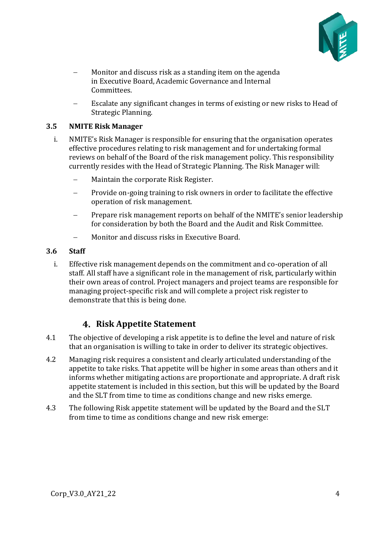

- Monitor and discuss risk as a standing item on the agenda in Executive Board, Academic Governance and Internal Committees.
- Escalate any significant changes in terms of existing or new risks to Head of Strategic Planning.

#### <span id="page-3-0"></span>**3.5 NMITE Risk Manager**

- i. NMITE's Risk Manager is responsible for ensuring that the organisation operates effective procedures relating to risk management and for undertaking formal reviews on behalf of the Board of the risk management policy. This responsibility currently resides with the Head of Strategic Planning. The Risk Manager will:
	- − Maintain the corporate Risk Register.
	- Provide on-going training to risk owners in order to facilitate the effective operation of risk management.
	- Prepare risk management reports on behalf of the NMITE's senior leadership for consideration by both the Board and the Audit and Risk Committee.
	- − Monitor and discuss risks in Executive Board.

#### <span id="page-3-1"></span>**3.6 Staff**

i. Effective risk management depends on the commitment and co-operation of all staff. All staff have a significant role in the management of risk, particularly within their own areas of control. Project managers and project teams are responsible for managing project-specific risk and will complete a project risk register to demonstrate that this is being done.

# <span id="page-3-2"></span>**Risk Appetite Statement**

- 4.1 The objective of developing a risk appetite is to define the level and nature of risk that an organisation is willing to take in order to deliver its strategic objectives.
- 4.2 Managing risk requires a consistent and clearly articulated understanding of the appetite to take risks. That appetite will be higher in some areas than others and it informs whether mitigating actions are proportionate and appropriate. A draft risk appetite statement is included in this section, but this will be updated by the Board and the SLT from time to time as conditions change and new risks emerge.
- 4.3 The following Risk appetite statement will be updated by the Board and the SLT from time to time as conditions change and new risk emerge: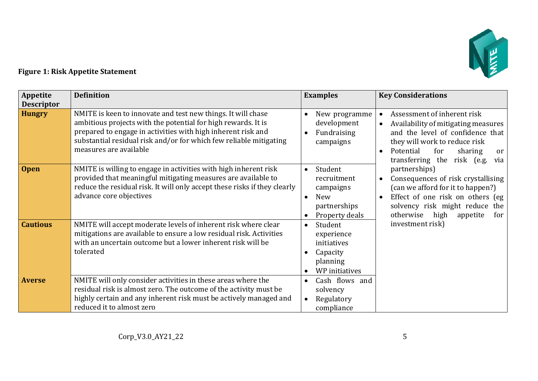

# **Figure 1: Risk Appetite Statement**

| Appetite          | <b>Definition</b>                                                                                                                                                                                                                                                                             | <b>Examples</b>                                                                                        | <b>Key Considerations</b>                                                                                                                                                                                                                                 |  |  |  |  |
|-------------------|-----------------------------------------------------------------------------------------------------------------------------------------------------------------------------------------------------------------------------------------------------------------------------------------------|--------------------------------------------------------------------------------------------------------|-----------------------------------------------------------------------------------------------------------------------------------------------------------------------------------------------------------------------------------------------------------|--|--|--|--|
| <b>Descriptor</b> |                                                                                                                                                                                                                                                                                               |                                                                                                        |                                                                                                                                                                                                                                                           |  |  |  |  |
| <b>Hungry</b>     | NMITE is keen to innovate and test new things. It will chase<br>ambitious projects with the potential for high rewards. It is<br>prepared to engage in activities with high inherent risk and<br>substantial residual risk and/or for which few reliable mitigating<br>measures are available | New programme<br>development<br>Fundraising<br>campaigns                                               | Assessment of inherent risk<br>$\bullet$<br>Availability of mitigating measures<br>$\bullet$<br>and the level of confidence that<br>they will work to reduce risk<br>Potential<br>for<br>sharing<br>$\bullet$<br>or<br>transferring the risk (e.g.<br>via |  |  |  |  |
| <b>Open</b>       | NMITE is willing to engage in activities with high inherent risk<br>provided that meaningful mitigating measures are available to<br>reduce the residual risk. It will only accept these risks if they clearly<br>advance core objectives                                                     | Student<br>$\bullet$<br>recruitment<br>campaigns<br>New<br>$\bullet$<br>partnerships<br>Property deals | partnerships)<br>Consequences of risk crystallising<br>(can we afford for it to happen?)<br>Effect of one risk on others (eg<br>solvency risk might reduce the<br>otherwise high<br>appetite<br>for                                                       |  |  |  |  |
| <b>Cautious</b>   | NMITE will accept moderate levels of inherent risk where clear<br>mitigations are available to ensure a low residual risk. Activities<br>with an uncertain outcome but a lower inherent risk will be<br>tolerated                                                                             | Student<br>$\bullet$<br>experience<br>initiatives<br>Capacity<br>planning<br>WP initiatives            | investment risk)                                                                                                                                                                                                                                          |  |  |  |  |
| <b>Averse</b>     | NMITE will only consider activities in these areas where the<br>residual risk is almost zero. The outcome of the activity must be<br>highly certain and any inherent risk must be actively managed and<br>reduced it to almost zero                                                           | Cash flows and<br>$\bullet$<br>solvency<br>Regulatory<br>$\bullet$<br>compliance                       |                                                                                                                                                                                                                                                           |  |  |  |  |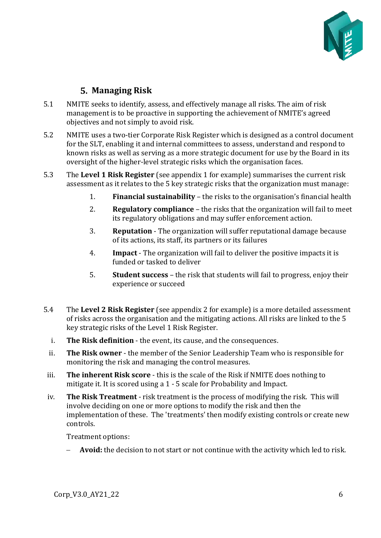

# **Managing Risk**

- <span id="page-5-0"></span>5.1 NMITE seeks to identify, assess, and effectively manage all risks. The aim of risk management is to be proactive in supporting the achievement of NMITE's agreed objectives and not simply to avoid risk.
- 5.2 NMITE uses a two-tier Corporate Risk Register which is designed as a control document for the SLT, enabling it and internal committees to assess, understand and respond to known risks as well as serving as a more strategic document for use by the Board in its oversight of the higher-level strategic risks which the organisation faces.
- 5.3 The **Level 1 Risk Register** (see appendix 1 for example) summarises the current risk assessment as it relates to the 5 key strategic risks that the organization must manage:
	- 1. **Financial sustainability** the risks to the organisation's financial health
	- 2. **Regulatory compliance** the risks that the organization will fail to meet its regulatory obligations and may suffer enforcement action.
	- 3. **Reputation** The organization will suffer reputational damage because of its actions, its staff, its partners or its failures
	- 4. **Impact** The organization will fail to deliver the positive impacts it is funded or tasked to deliver
	- 5. **Student success** the risk that students will fail to progress, enjoy their experience or succeed
- 5.4 The **Level 2 Risk Register** (see appendix 2 for example) is a more detailed assessment of risks across the organisation and the mitigating actions. All risks are linked to the 5 key strategic risks of the Level 1 Risk Register.
	- i. **The Risk definition** the event, its cause, and the consequences.
	- ii. **The Risk owner** the member of the Senior Leadership Team who is responsible for monitoring the risk and managing the control measures.
- iii. **The inherent Risk score** this is the scale of the Risk if NMITE does nothing to mitigate it. It is scored using a 1 - 5 scale for Probability and Impact.
- iv. **The Risk Treatment** risk treatment is the process of modifying the risk. This will involve deciding on one or more options to modify the risk and then the implementation of these. The 'treatments' then modify existing controls or create new controls.

Treatment options:

− **Avoid:** the decision to not start or not continue with the activity which led to risk.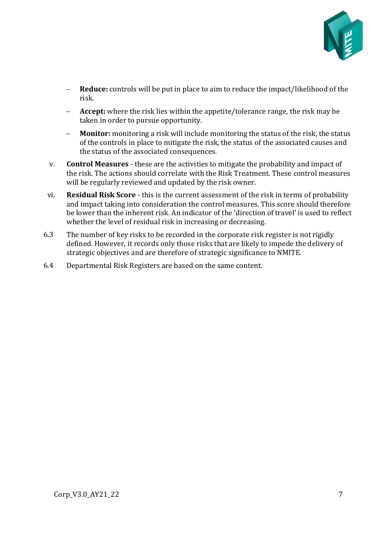

- − **Reduce:** controls will be put in place to aim to reduce the impact/likelihood of the risk.
- **Accept:** where the risk lies within the appetite/tolerance range, the risk may be taken in order to pursue opportunity.
- − **Monitor:** monitoring a risk will include monitoring the status of the risk, the status of the controls in place to mitigate the risk, the status of the associated causes and the status of the associated consequences.
- v. **Control Measures** these are the activities to mitigate the probability and impact of the risk. The actions should correlate with the Risk Treatment. These control measures will be regularly reviewed and updated by the risk owner.
- vi. **Residual Risk Score** this is the current assessment of the risk in terms of probability and impact taking into consideration the control measures. This score should therefore be lower than the inherent risk. An indicator of the 'direction of travel' is used to reflect whether the level of residual risk in increasing or decreasing.
- 6.3 The number of key risks to be recorded in the corporate risk register is not rigidly defined. However, it records only those risks that are likely to impede the delivery of strategic objectives and are therefore of strategic significance to NMITE.
- 6.4 Departmental Risk Registers are based on the same content.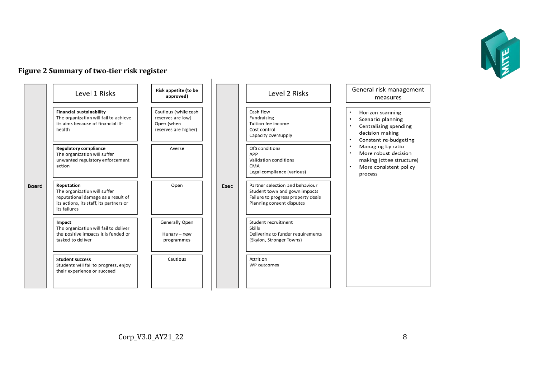

#### **Figure 2 Summary of two-tier risk register**

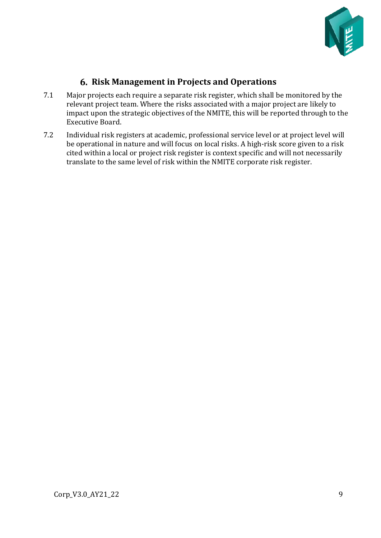

# **Risk Management in Projects and Operations**

- <span id="page-8-0"></span>7.1 Major projects each require a separate risk register, which shall be monitored by the relevant project team. Where the risks associated with a major project are likely to impact upon the strategic objectives of the NMITE, this will be reported through to the Executive Board.
- 7.2 Individual risk registers at academic, professional service level or at project level will be operational in nature and will focus on local risks. A high-risk score given to a risk cited within a local or project risk register is context specific and will not necessarily translate to the same level of risk within the NMITE corporate risk register.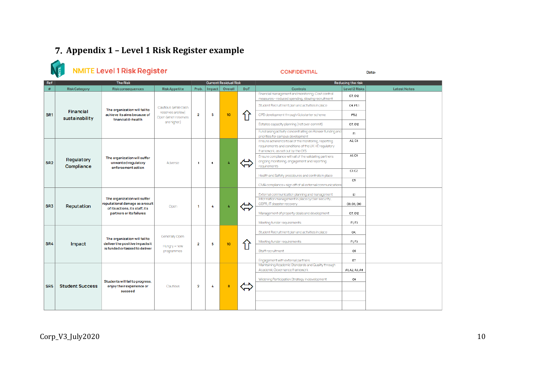# **Appendix 1 – Level 1 Risk Register example**

<span id="page-9-0"></span>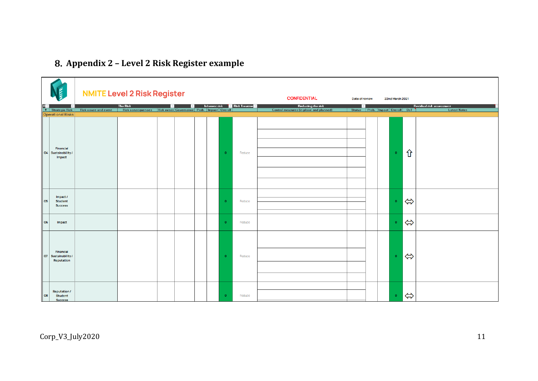# **Appendix 2 – Level 2 Risk Register example**

<span id="page-10-0"></span>

|                                                               | <b>NMITE Level 2 Risk Register</b> |                                                                                 |  |  |  |  |                |                              | <b>CONFIDENTIAL</b>                                          | Date of review |                                 | 22nd March 2021 |                   |                                                 |
|---------------------------------------------------------------|------------------------------------|---------------------------------------------------------------------------------|--|--|--|--|----------------|------------------------------|--------------------------------------------------------------|----------------|---------------------------------|-----------------|-------------------|-------------------------------------------------|
| <b>*</b> Strategic Risk                                       | <b>Risk cause and event</b>        | <b>The Risk</b><br>Risk consequences Risk ovner Governance Prob. Impact Overall |  |  |  |  |                | Inherent risk E Risk Treatme | Reducing the risk<br>Control measures (in place and planned) | ŀ              | Status Prob. Impact Overall DoT |                 |                   | Residual risk assessment<br><b>Latest Notes</b> |
| <b>Operational Risks</b>                                      |                                    |                                                                                 |  |  |  |  |                |                              |                                                              |                |                                 |                 |                   |                                                 |
| Financial<br>O4 Sustainability /<br>Impact                    |                                    |                                                                                 |  |  |  |  | $\overline{0}$ | Reduce                       |                                                              |                |                                 | $\bullet$       | ⇧                 |                                                 |
| Impact /<br><b>O5</b><br>Student<br><b>Success</b>            |                                    |                                                                                 |  |  |  |  | $\overline{0}$ | Reduce                       |                                                              |                |                                 | $\mathbf{0}^-$  | $\Leftrightarrow$ |                                                 |
| O <sub>6</sub><br>Impact                                      |                                    |                                                                                 |  |  |  |  | $\bullet$      | Reduce                       |                                                              |                |                                 | $\mathbf{0}^-$  | $\Leftrightarrow$ |                                                 |
| Financial<br>07 Sustainability /<br>Reputation                |                                    |                                                                                 |  |  |  |  | $\overline{0}$ | Reduce                       |                                                              |                |                                 | $\mathbf{0}^-$  | $\Leftrightarrow$ |                                                 |
| <b>Reputation /</b><br><b>O8</b><br>Student<br><b>Success</b> |                                    |                                                                                 |  |  |  |  | $\overline{0}$ | Reduce                       |                                                              |                |                                 | $\mathbf{0}$    | $\Leftrightarrow$ |                                                 |